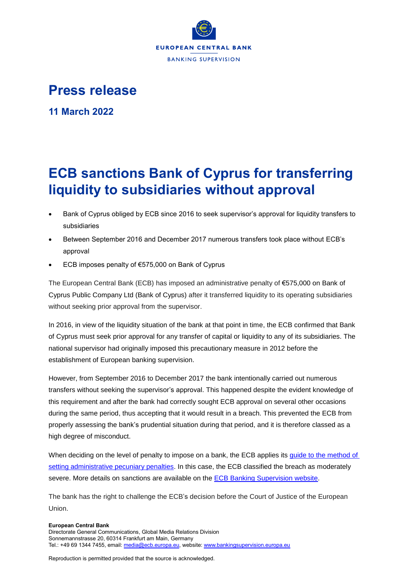

## **Press release**

**11 March 2022**

## **ECB sanctions Bank of Cyprus for transferring liquidity to subsidiaries without approval**

- Bank of Cyprus obliged by ECB since 2016 to seek supervisor's approval for liquidity transfers to subsidiaries
- Between September 2016 and December 2017 numerous transfers took place without ECB's approval
- ECB imposes penalty of €575,000 on Bank of Cyprus

The European Central Bank (ECB) has imposed an administrative penalty of €575,000 on Bank of Cyprus Public Company Ltd (Bank of Cyprus) after it transferred liquidity to its operating subsidiaries without seeking prior approval from the supervisor.

In 2016, in view of the liquidity situation of the bank at that point in time, the ECB confirmed that Bank of Cyprus must seek prior approval for any transfer of capital or liquidity to any of its subsidiaries. The national supervisor had originally imposed this precautionary measure in 2012 before the establishment of European banking supervision.

However, from September 2016 to December 2017 the bank intentionally carried out numerous transfers without seeking the supervisor's approval. This happened despite the evident knowledge of this requirement and after the bank had correctly sought ECB approval on several other occasions during the same period, thus accepting that it would result in a breach. This prevented the ECB from properly assessing the bank's prudential situation during that period, and it is therefore classed as a high degree of misconduct.

When deciding on the level of penalty to impose on a bank, the ECB applies its [guide to the method of](https://www.bankingsupervision.europa.eu/ecb/pub/pdf/ssm.guidetothemethodofsettingadministrativepecuniarypenalties_202103~400cbafa55.en.pdf)  [setting administrative pecuniary penalties.](https://www.bankingsupervision.europa.eu/ecb/pub/pdf/ssm.guidetothemethodofsettingadministrativepecuniarypenalties_202103~400cbafa55.en.pdf) In this case, the ECB classified the breach as moderately severe. More details on sanctions are available on the [ECB Banking Supervision website.](https://www.bankingsupervision.europa.eu/banking/sanctions/html/index.en.html)

The bank has the right to challenge the ECB's decision before the Court of Justice of the European Union.

## **European Central Bank**

Directorate General Communications, Global Media Relations Division Sonnemannstrasse 20, 60314 Frankfurt am Main, Germany Tel.: +49 69 1344 7455, email[: media@ecb.europa.eu,](mailto:media@ecb.europa.eu) website[: www.bankingsupervision.europa.eu](http://www.bankingsupervision.europa.eu/)

Reproduction is permitted provided that the source is acknowledged.